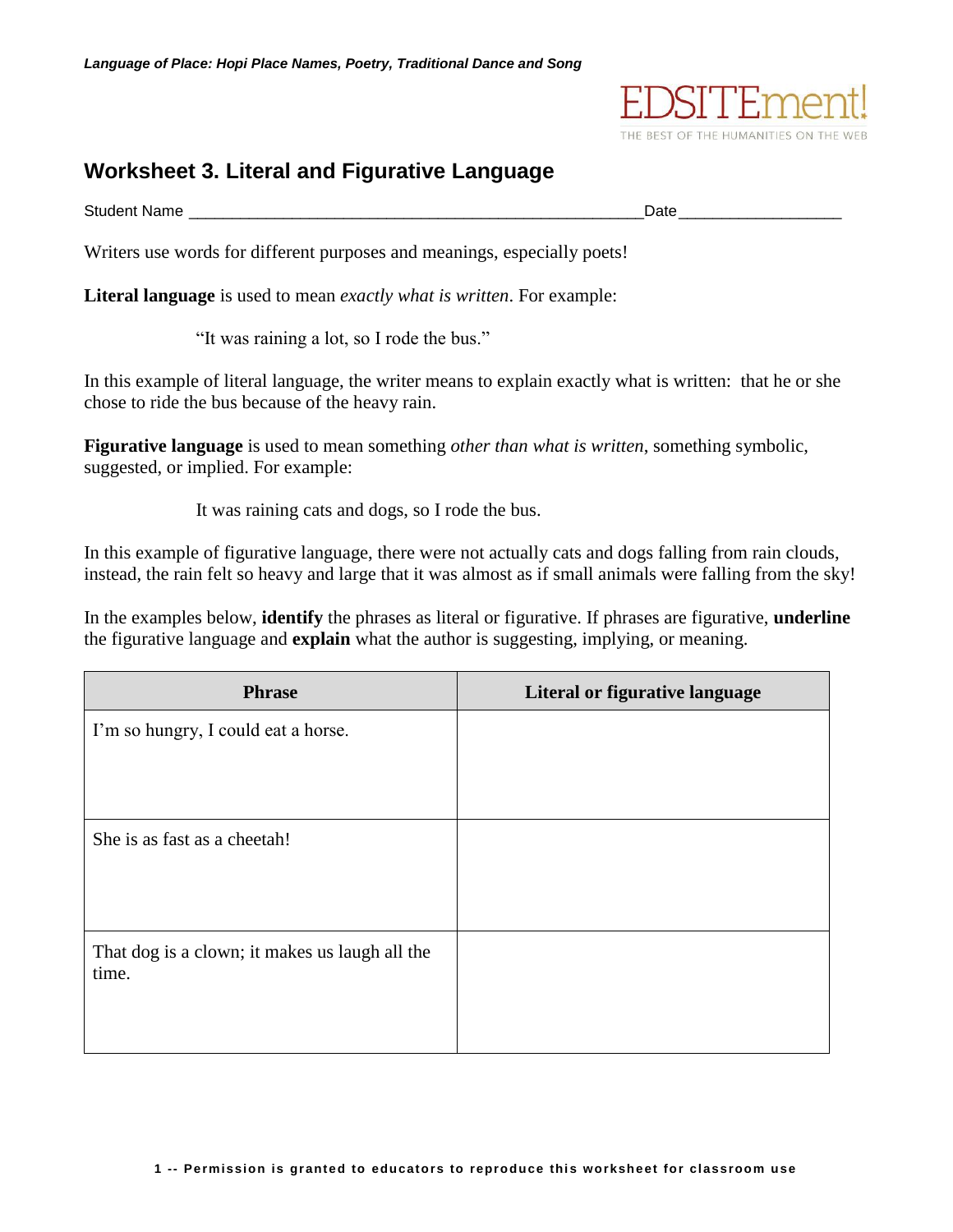

## **Worksheet 3. Literal and Figurative Language**

Student Name **Law 2008** Student Name **Date** 

Writers use words for different purposes and meanings, especially poets!

**Literal language** is used to mean *exactly what is written*. For example:

"It was raining a lot, so I rode the bus."

In this example of literal language, the writer means to explain exactly what is written: that he or she chose to ride the bus because of the heavy rain.

**Figurative language** is used to mean something *other than what is written*, something symbolic, suggested, or implied. For example:

It was raining cats and dogs, so I rode the bus.

In this example of figurative language, there were not actually cats and dogs falling from rain clouds, instead, the rain felt so heavy and large that it was almost as if small animals were falling from the sky!

In the examples below, **identify** the phrases as literal or figurative. If phrases are figurative, **underline** the figurative language and **explain** what the author is suggesting, implying, or meaning.

| <b>Phrase</b>                                           | Literal or figurative language |
|---------------------------------------------------------|--------------------------------|
| I'm so hungry, I could eat a horse.                     |                                |
|                                                         |                                |
|                                                         |                                |
| She is as fast as a cheetah!                            |                                |
|                                                         |                                |
|                                                         |                                |
| That dog is a clown; it makes us laugh all the<br>time. |                                |
|                                                         |                                |
|                                                         |                                |